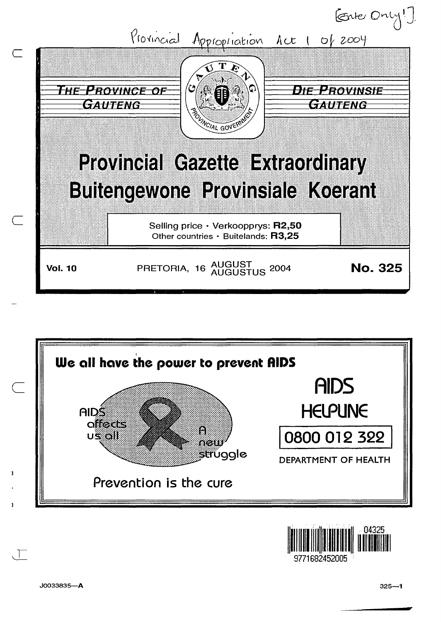Center Only!] Provincial Appropriation  $Act$  $062004$  $\subset$ THE PROVINCE OF **DIE PROVINSIE** GAUTENG GAUTENG WINCIAL GOVERY **Provincial Gazette Extraordinary Buitengewone Provinsiale Koerant** Selling price · Verkoopprys: R2,50 Other countries · Buitelands: R3,25 **AUGUST** AUGUSTUS 2004 **No. 325 Vol. 10** PRETORIA, 16





J0033835-A

 $\top$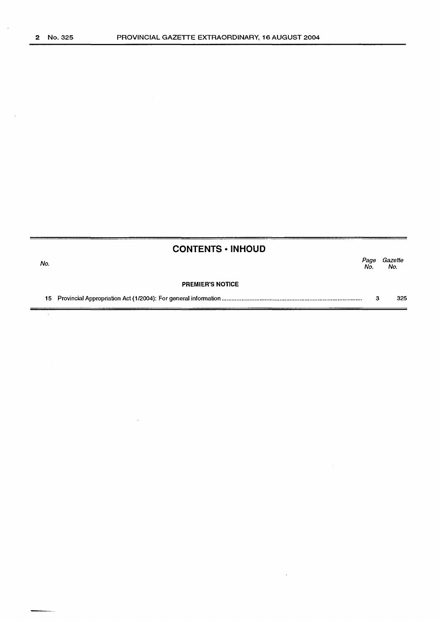$\overline{\phantom{a}}$ 

|     | <b>CONTENTS • INHOUD</b> |             |                |
|-----|--------------------------|-------------|----------------|
| No. |                          | Page<br>No. | Gazette<br>No. |
|     | <b>PREMIER'S NOTICE</b>  |             |                |
|     |                          | з           | 325            |

 $\bar{z}$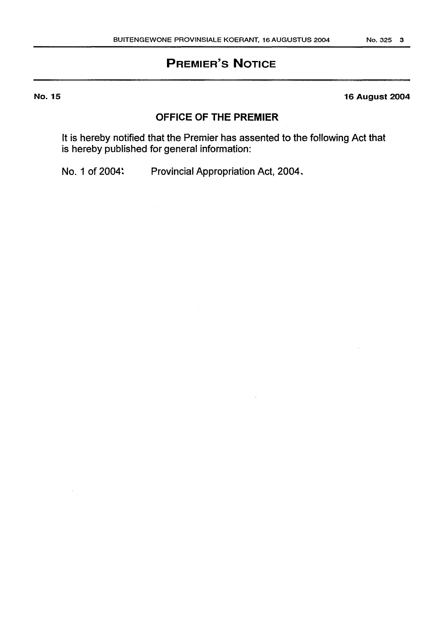## PREMIER'S NOTICE

No. 15

#### 16 August 2004

÷

### OFFICE OF THE PREMIER

It is hereby notified that the Premier has assented to the following Act that is hereby published for general information:

No. 1 of 2004: Provincial Appropriation Act, 2004.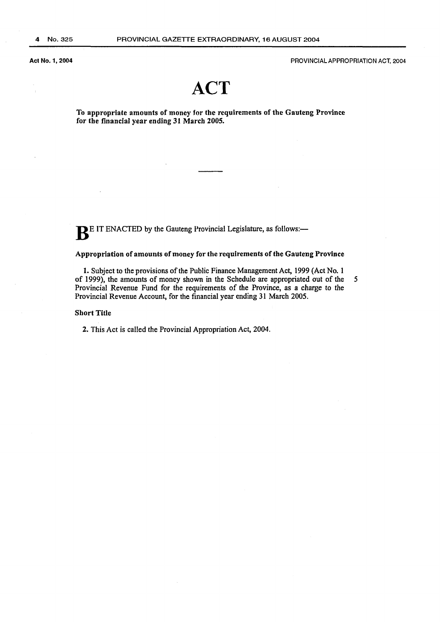# **ACT**

To appropriate amounts of money for the requirements of the Gauteng Province for the financial year ending 31 March 2005.

**BE IT ENACTED** by the Gauteng Provincial Legislature, as follows:-

#### Appropriation of amounts of money for the requirements of the Gauteng Province

1. Subject to the provisions of the Public Finance Management Act, 1999 (Act No. 1 of 1999}, the amounts of money shown in the Schedule are appropriated out of the *5*  Provincial Revenue Fund for the requirements of the Province, as a charge to the Provincial Revenue Account, for the financial year ending 31 March 2005.

#### Short Title

2. This Act is called the Provincial Appropriation Act, 2004.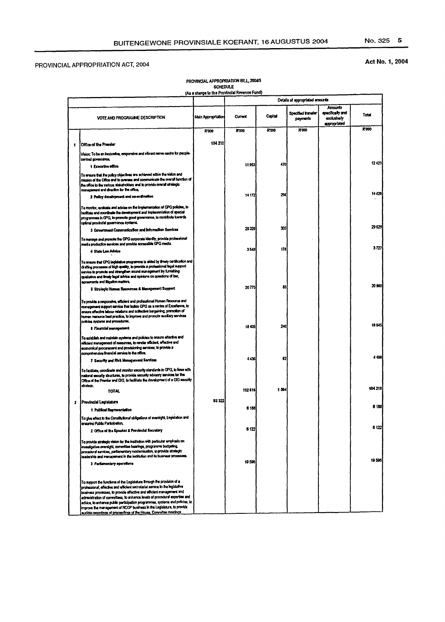#### Act No. 1, 2004

# PROVINCIAL APPROPRIATION BILL, 2004/5<br>SCHEDULE<br>(As a charge to the Provincial Revenue Fund)

|   |                                                                                                                                                                                                                                                                                                                                                                                                                                                                                                                                                  |                    | Man Ad minute Chassinese secretary count |              | Details of appropriated amounts |                                                                   |             |
|---|--------------------------------------------------------------------------------------------------------------------------------------------------------------------------------------------------------------------------------------------------------------------------------------------------------------------------------------------------------------------------------------------------------------------------------------------------------------------------------------------------------------------------------------------------|--------------------|------------------------------------------|--------------|---------------------------------|-------------------------------------------------------------------|-------------|
|   | VOTE AND PROGRAMME DESCRIPTION                                                                                                                                                                                                                                                                                                                                                                                                                                                                                                                   | Main Appropriation | Current                                  | Capital      | Specified transfer<br>payments  | <b>Amounts</b><br>specifically and<br>exclusively<br>appropriated | Total       |
|   |                                                                                                                                                                                                                                                                                                                                                                                                                                                                                                                                                  | <b>R000</b>        | <b>R1000</b>                             | <b>R'000</b> | <b>R000</b>                     |                                                                   | <b>R000</b> |
| 1 | Office of the Premier                                                                                                                                                                                                                                                                                                                                                                                                                                                                                                                            | 104 210            |                                          |              |                                 |                                                                   |             |
|   | Vision; To be an innovative, responsive and vibrant nerve centre for people-<br>centrad governance,                                                                                                                                                                                                                                                                                                                                                                                                                                              |                    |                                          |              |                                 |                                                                   |             |
|   | 1 Executive office                                                                                                                                                                                                                                                                                                                                                                                                                                                                                                                               |                    | 11953                                    | 470          |                                 |                                                                   | 12 4 23     |
|   | To ensure that the policy objectives are achieved within the vision and<br>mission of the Office and to oversee and communicate the overall function of<br>the office to the various slakeholders and to provide overall strategic<br>management and direction for the office,                                                                                                                                                                                                                                                                   |                    |                                          |              |                                 |                                                                   |             |
|   | 2 Policy development and co-ordination                                                                                                                                                                                                                                                                                                                                                                                                                                                                                                           |                    | 14 172                                   | 256          |                                 |                                                                   | 14 42L      |
|   | To monitor, evaluate and advise on the implementation of GPG policies, to<br>facilitate and coordinate the development and implementation of special<br>programmes in GPG, to promote good governance, to contribute towards<br>oplinal provincial governance systems.                                                                                                                                                                                                                                                                           |                    |                                          |              |                                 |                                                                   | 29 629      |
|   | 3 Government Communication and Information Services                                                                                                                                                                                                                                                                                                                                                                                                                                                                                              |                    | 29 326                                   | 303          |                                 |                                                                   |             |
|   | To manage and promote the GPG corporate identity, provide professional<br>media production services and provide accessible GPG media.                                                                                                                                                                                                                                                                                                                                                                                                            |                    |                                          |              |                                 |                                                                   |             |
|   | 4 State Law Advice                                                                                                                                                                                                                                                                                                                                                                                                                                                                                                                               |                    | 3549                                     | 178          |                                 |                                                                   | 3727        |
|   | To ensure that GPG legisletive programme is aided by timely certification and<br>drafting processes of high quality, to provide a professional legal support<br>service to promote and strengthen sound management by furnishing<br>qualitative and fimaly legal advice and opinions on questions of law,<br>agreements and Bigation matters,                                                                                                                                                                                                    |                    |                                          |              |                                 |                                                                   |             |
|   | 5 Strategic Human Renources & Menagement Support                                                                                                                                                                                                                                                                                                                                                                                                                                                                                                 |                    | 20775                                    | 85           |                                 |                                                                   | 20 860      |
|   | To provide a responsive, efficient and professional Human Resource and<br>management support sanvice that budds GPG as a centre of Excellence, to<br>ensure effective labour relations and collective bargening, promotion of<br>human resource best practice, to improve and promote auxiliary services<br>policies systems and procedures,                                                                                                                                                                                                     |                    |                                          |              |                                 |                                                                   |             |
|   | 6 Financial management                                                                                                                                                                                                                                                                                                                                                                                                                                                                                                                           |                    | 18 405                                   | 240          |                                 |                                                                   | 18 645      |
|   | To establish and maintain systems and policies to ensure effective and<br>efficient management of resources, to render efficient, effective and<br>economical procurement and provisioning services, to provide a<br>comprehensive financial service to the office.                                                                                                                                                                                                                                                                              |                    |                                          |              |                                 |                                                                   | 4 498       |
|   | 7 Security and Risk Management Services                                                                                                                                                                                                                                                                                                                                                                                                                                                                                                          |                    | 4436                                     | 62           |                                 |                                                                   |             |
|   | To facilitate, coordinate and monitor security standards in GPG, to liase with<br>national security structures, to provide security advisory services for the<br>Office of the Premier and GIG, to faciliate the development of a GIG security<br>stratogy.                                                                                                                                                                                                                                                                                      |                    |                                          |              |                                 |                                                                   |             |
|   | <b>TOTAL</b>                                                                                                                                                                                                                                                                                                                                                                                                                                                                                                                                     |                    | 102 616                                  | 1594         |                                 |                                                                   | 104 210     |
| 2 | Provincial Legislature                                                                                                                                                                                                                                                                                                                                                                                                                                                                                                                           | 93 322             |                                          |              |                                 |                                                                   | 6 188       |
|   | 1 Political Representation                                                                                                                                                                                                                                                                                                                                                                                                                                                                                                                       |                    | 6 155                                    |              |                                 |                                                                   |             |
|   | To give effect to the Constitutional obligations of oversight, Legislation and<br>ensuring Public Participation,                                                                                                                                                                                                                                                                                                                                                                                                                                 |                    |                                          |              |                                 |                                                                   |             |
|   | 2 Office of the Speaker & Provincial Secretary                                                                                                                                                                                                                                                                                                                                                                                                                                                                                                   |                    | 6122                                     |              |                                 |                                                                   | 6 122       |
|   | To provide strategic vision for the institution with perfoular emphasis on<br>investigative oversight, committee hearings, programme budgeting,<br>procedural services, parllamentary modernisation, to provide strategic<br>leadership and management in the institution and its business processes.                                                                                                                                                                                                                                            |                    |                                          |              |                                 |                                                                   | 19596       |
|   | 3 Parliamentary sperations                                                                                                                                                                                                                                                                                                                                                                                                                                                                                                                       |                    | 19595                                    |              |                                 |                                                                   |             |
|   | To support the functions of the Legislature through the provision of a<br>professional, effective and efficient secretarial service to the legislative<br>business processes, to provide effective and efficient management and<br>administration of committees, to enhance levels of procedural expertise and<br>acivice, to enhance public participation programmes, systems and policies, to<br>improve the management of NCOP business in the Legislature, to provide<br>audible recordings of proceedings of the House, Committee meetings. |                    |                                          |              |                                 |                                                                   |             |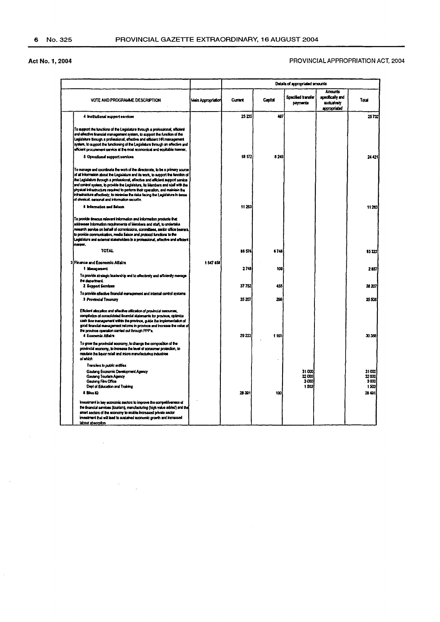$\sim$ 

 $\frac{1}{2} \sum_{i=1}^{n} \frac{1}{2} \sum_{j=1}^{n} \frac{1}{2} \sum_{j=1}^{n} \frac{1}{2} \sum_{j=1}^{n} \frac{1}{2} \sum_{j=1}^{n} \frac{1}{2} \sum_{j=1}^{n} \frac{1}{2} \sum_{j=1}^{n} \frac{1}{2} \sum_{j=1}^{n} \frac{1}{2} \sum_{j=1}^{n} \frac{1}{2} \sum_{j=1}^{n} \frac{1}{2} \sum_{j=1}^{n} \frac{1}{2} \sum_{j=1}^{n} \frac{1}{2} \sum_{j=1}^{n$ 

 $\hat{\mathcal{A}}$ 

#### Act No. 1, 2004

#### PROVINCIAL APPROPRIATION ACT, 2004

|                                                                                                                                                                                                                                                                                                                                                                                                                                                                                                                                                                |                    | Details of appropriated amounts |         |                                       |                                                                  |                        |
|----------------------------------------------------------------------------------------------------------------------------------------------------------------------------------------------------------------------------------------------------------------------------------------------------------------------------------------------------------------------------------------------------------------------------------------------------------------------------------------------------------------------------------------------------------------|--------------------|---------------------------------|---------|---------------------------------------|------------------------------------------------------------------|------------------------|
| VOTE AND PROGRAMME DESCRIPTION                                                                                                                                                                                                                                                                                                                                                                                                                                                                                                                                 | Main Appropriation | <b>Current</b>                  | Capital | Specified transfer<br><b>payments</b> | <b>Anounts</b><br>specifically and<br>axdusively<br>appropriated | Total                  |
| 4 institutional support services                                                                                                                                                                                                                                                                                                                                                                                                                                                                                                                               |                    | 25 235                          | 497     |                                       |                                                                  | 25732                  |
| To support the functions of the Legislature through a professional, efficient<br>and effective financial management system, to support the function of the<br>Legislature through a professional, effective and efficient HR management<br>system, to support the functioning of the Legislature through an effective and<br>efficient procurement service at the most economical and equitable manner,<br>5 Operational support services                                                                                                                      |                    | 18 172                          | 5249    |                                       |                                                                  | 24 421                 |
| To manage and coordinate the work of the directorate, to be a primary source<br>of all information about the Legislature and its work, to support the function of<br>the Legislature through a professional, effective and efficient support senice<br>and control system, to provide the Legislature, its Members and staff with the<br>physical infrastructure required to perform their coeration, and mainlain the<br>infrastructure effectively, to minimize the risks facing the Legislature in terms<br>of physical, personal and information security. |                    |                                 |         |                                       |                                                                  |                        |
| 6 Information and Helson                                                                                                                                                                                                                                                                                                                                                                                                                                                                                                                                       |                    | 11263                           |         |                                       |                                                                  | 11263                  |
| To provide timeous relevant information and information products that<br>addresses information requirements of Members and staff, to undertake<br>research service on behalf of commissions, committees, senior office bearers,<br>to provide communication, media liaison and protocol functions to the<br>Lagislature and axternal stakeholders in a professional, effective and efficient<br>manner,                                                                                                                                                        |                    |                                 |         |                                       |                                                                  |                        |
| <b>TOTAL</b>                                                                                                                                                                                                                                                                                                                                                                                                                                                                                                                                                   |                    | 86576                           | \$748   |                                       |                                                                  | 93322                  |
| 3 Finance and Economic Atlairs                                                                                                                                                                                                                                                                                                                                                                                                                                                                                                                                 | 1547658            |                                 |         |                                       |                                                                  |                        |
| 1 Management<br>To provide atrategic leadership and to effectively and efficiently manage<br>the department.                                                                                                                                                                                                                                                                                                                                                                                                                                                   |                    | 2748                            | 100     |                                       |                                                                  | 2857                   |
| 2 Support Services                                                                                                                                                                                                                                                                                                                                                                                                                                                                                                                                             |                    | 37752                           | 455     |                                       |                                                                  | 38 207                 |
| To provide affective financial management and internal control systems<br>3 Provincial Treasury                                                                                                                                                                                                                                                                                                                                                                                                                                                                |                    | 35 207                          | 250     |                                       |                                                                  | 35506                  |
| Eficient allocation and effective utilization of provincial resources,<br>compilation of consolidated financial statements for province, optimiza-<br>cash flow management within the province, guida the implementation of<br>good financial management reforms in province and increase the value of<br>the province coeration carried out through PPP's.<br>4 Economic Atlairs                                                                                                                                                                              |                    | 29 223                          | 1165    |                                       |                                                                  | 20 388                 |
| To grow the provincial economy, to change the composition of the<br>provincial economy, to increase the level of consumer protection, to<br>regulate the flouor retail and micro manufacturing industries<br>ol which                                                                                                                                                                                                                                                                                                                                          |                    |                                 |         |                                       |                                                                  |                        |
| Transfers to cublic entities<br>Gauteng Economic Development Agency                                                                                                                                                                                                                                                                                                                                                                                                                                                                                            |                    |                                 |         | 31000                                 |                                                                  | 31000                  |
| Gaulang Touriam Agency<br>Gaulang Film Office<br>Dept of Education and Training                                                                                                                                                                                                                                                                                                                                                                                                                                                                                |                    |                                 |         | 32000<br>3000<br>1503                 |                                                                  | 32 DOC<br>3000<br>1503 |
| 5 Blus IQ                                                                                                                                                                                                                                                                                                                                                                                                                                                                                                                                                      |                    | 28 32 1                         | 100     |                                       |                                                                  | 28 4 9 1               |
| Investment in key economic sectors to improve the competitiveness of<br>the financial services (tourism), manufacturing (high value added) and the<br>smart sectors of the economy to enable increased private sector<br>investment that will lead to sustained economic growth and increased<br>labour absorption                                                                                                                                                                                                                                             |                    |                                 |         |                                       |                                                                  |                        |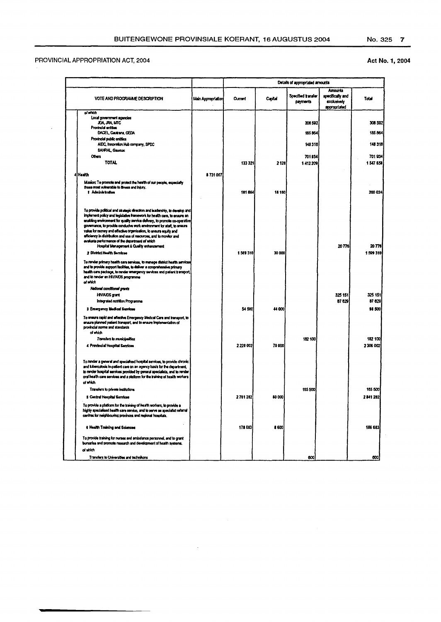$\hat{\mathcal{A}}$ 

#### Act No. 1, 2004

|                                                                                                                                                         |                    |           |         | Details of appropriated amounts |                                                                   |          |
|---------------------------------------------------------------------------------------------------------------------------------------------------------|--------------------|-----------|---------|---------------------------------|-------------------------------------------------------------------|----------|
| VOTE AND PROGRAMME DESCRIPTION                                                                                                                          | Main Appropriation | Current   | Capital | Specified transfer<br>payments  | <b>Amounts</b><br>specifically and<br>exclusively<br>appropriated | Total    |
| of which                                                                                                                                                |                    |           |         |                                 |                                                                   |          |
| Local government agencies<br>JDA, JRA, MTC                                                                                                              |                    |           |         | 306 592                         |                                                                   | 308 592  |
| Provincial entities                                                                                                                                     |                    |           |         |                                 |                                                                   |          |
| DACEL GRAHMI, GEDA                                                                                                                                      |                    |           |         | 185864                          |                                                                   | 185864   |
| Provincial public entities<br>AIDC, Innovation Hub company, SPDC                                                                                        |                    |           |         | 148318                          |                                                                   | 148 318  |
| <b>SANRAL</b> Gaumac                                                                                                                                    |                    |           |         |                                 |                                                                   |          |
| <b>Others</b>                                                                                                                                           |                    |           |         | 701934                          |                                                                   | 701934   |
| <b>TOTAL</b>                                                                                                                                            |                    | 133 321   | 2 1 2 8 | 1412209                         |                                                                   | 1547 658 |
|                                                                                                                                                         |                    |           |         |                                 |                                                                   |          |
| 4 Health                                                                                                                                                | 8731007            |           |         |                                 |                                                                   |          |
| Mission; To promote and protect the health of our people, especially                                                                                    |                    |           |         |                                 |                                                                   |          |
| those most vulnerable to liness and injury.<br>1 Administration                                                                                         |                    | 181864    | 18160   |                                 |                                                                   | 200 024  |
|                                                                                                                                                         |                    |           |         |                                 |                                                                   |          |
|                                                                                                                                                         |                    |           |         |                                 |                                                                   |          |
| To provide political and strategic direction and leadership, to develop and<br>implement policy and legislative framework for health care, to ensure an |                    |           |         |                                 |                                                                   |          |
| enabling environment for quality service delivery, to promote co-operative                                                                              |                    |           |         |                                 |                                                                   |          |
| governance, to provide conducive work environment for staff, to ensure                                                                                  |                    |           |         |                                 |                                                                   |          |
| value for money and effective organisation, to ensure equity and                                                                                        |                    |           |         |                                 |                                                                   |          |
| efficiency in distribution and use of resources, and to monitor and<br>evaluate performance of the department of which                                  |                    |           |         |                                 |                                                                   |          |
| Hospital Management & Quality enhancement                                                                                                               |                    |           |         |                                 | 20776                                                             | 20 77 d  |
| 2 District Health Services                                                                                                                              |                    | 1569310   | 30 000  |                                 |                                                                   | 1599310  |
| To render primary health care services, to manage district health services                                                                              |                    |           |         |                                 |                                                                   |          |
| and to provide support facilities, to deliver a comprehensive primary                                                                                   |                    |           |         |                                 |                                                                   |          |
| health care package, to render smargericy services and patient transport,                                                                               |                    |           |         |                                 |                                                                   |          |
| and to render an HIV/AIDS programme<br>ol Wikih                                                                                                         |                    |           |         |                                 |                                                                   |          |
| Nellonal conditional prents                                                                                                                             |                    |           |         |                                 |                                                                   |          |
| <b>HVIAIDS</b> grant                                                                                                                                    |                    |           |         |                                 | 325 151                                                           | 325 151  |
| Integrated nutrition Programme                                                                                                                          |                    |           |         |                                 | 87829                                                             | 87 829   |
| <b>3 Emergency Medical Services</b>                                                                                                                     |                    | 54 500    | 44 000  |                                 |                                                                   | 98 500   |
|                                                                                                                                                         |                    |           |         |                                 |                                                                   |          |
| To maure rapid and effective Emergency Medical Care and transport, to<br>ansure planned patient transport, and to ensure implementation of              |                    |           |         |                                 |                                                                   |          |
| provincial norms and standards                                                                                                                          |                    |           |         |                                 |                                                                   |          |
| of which                                                                                                                                                |                    |           |         |                                 |                                                                   |          |
| Transfers to municipalities                                                                                                                             |                    |           |         | 182 100                         |                                                                   | 182 100  |
| 4 Provincial Hospital Services                                                                                                                          |                    | 2 228 002 | 78 000  |                                 |                                                                   | 2306 002 |
|                                                                                                                                                         |                    |           |         |                                 |                                                                   |          |
| To render a general and specialised hospital services, to provide chronic                                                                               |                    |           |         |                                 |                                                                   |          |
| and luberculosis in-patient care on an agency basis for the department,<br>to render hospital services provided by general specialists, and to render   |                    |           |         |                                 |                                                                   |          |
| oral health care services and a platform for the training of health workers                                                                             |                    |           |         |                                 |                                                                   |          |
| of which                                                                                                                                                |                    |           |         |                                 |                                                                   |          |
| Transfers to private institutions                                                                                                                       |                    |           |         | 185 500                         |                                                                   | 165 500  |
| 5 Central Hospital Services                                                                                                                             |                    | 2761282   | 80000   |                                 |                                                                   | 2841282  |
| лоуюв а ришкит ки вне валинд от межет может, во ргоуюв а                                                                                                |                    |           |         |                                 |                                                                   |          |
| highly specialised health care service, and to serve as specialist referral                                                                             |                    |           |         |                                 |                                                                   |          |
| centres for neighbouring provinces and regional hospitals.                                                                                              |                    |           |         |                                 |                                                                   |          |
| 6 Health Training and Sciences                                                                                                                          |                    | 178 083   | 8 600   |                                 |                                                                   | 186 683  |
|                                                                                                                                                         |                    |           |         |                                 |                                                                   |          |
| To provide training for nurses and ambulance personnel, and to grant<br>bursaries and promota research and development of health systems.               |                    |           |         |                                 |                                                                   |          |
| al which                                                                                                                                                |                    |           |         |                                 |                                                                   |          |
|                                                                                                                                                         |                    |           |         |                                 |                                                                   |          |
| Transfers to Universities and technikons                                                                                                                |                    |           |         | 800                             |                                                                   | 600      |

 $\mathcal{L}^{\mathcal{L}}$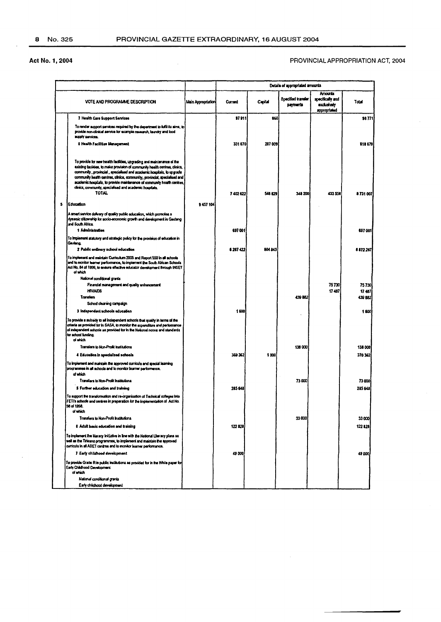$\bar{z}$ 

#### Act No. 1, 2004

#### PROVINCIAL APPROPRIATION ACT, 2004

| Amounts<br>Specified transfer<br>specifically and<br>Total<br>VOTE AND PROGRAMME DESCRIPTION<br>Main Appropriation<br>Current<br>Capital<br>vievicudva<br>payments<br>appropriated<br>97911<br>860<br>7 Health Care Support Services<br>98 771<br>To render support services required by the department to fulfil its sims, to<br>provide non-clinical service for example research, laundry and food<br>supply services.<br><b>8 Health Facilities Management</b><br>331 670<br>287009<br>513 679<br>To provide for new health facilities, upgrading and maintenance of the<br>existing facilities, to make provision of community health centres, clinics,<br>community, provincial, specialised and academic hospitals, to upgrade<br>community health centres, clinics, community, provincial, specialised and<br>academic hospitals, to provide maintenance of community health centres,<br>dinics, community, specialised and academic hospitals,<br><b>TOTAL</b><br>7 402 622<br>348 200<br>433 556<br>548 829<br>8731007<br>5<br>Education<br>9 457 104<br>A smart service delivery of quality public education, which promotes a<br>dynamic citizenship for socio-economic growth and development in Gauteng<br>and South Africa.<br>1 Administration<br>697001<br>697001<br>To implement statutory and strategic policy for the provision of education in<br><b>Gastana</b><br>6 267 422<br>804 845<br>2 Public ordinary school education<br>8872267<br>To implement and maintain Curriculum 2005 and Report 550 in all achools<br>and to moritor learner performance, to implement the South African Schools<br>Act No. 84 of 1996, to ensure effective educator development through INSET<br>of which<br>National conditional grants<br>75730<br>75730<br>Financial management and quality enhancement<br><b>HIVIAIDS</b><br>17487<br>17487<br>Transfers<br>439882<br>439 882<br>School cleaning campaign<br>3 Independent schools education<br>1600<br>1800<br>To provide a subsidy to all independent schools that quality in terms of the<br>criteria as provided for in SASA, to monitor the supenditure and performance<br>of independent achools as provided for in the National norms and standards<br>for school funding.<br>of which<br>Transfers to Non-Profit Institutions<br>138 000<br>138 000<br>369362<br>4 Education in specialized schools<br>\$ 000<br>370362<br>To implement and maintain the approved curricula and apecial learning<br>programmes in all schools and to monitor teamer performence.<br>of which<br>Transfers to Non-Profit Institutions<br>73000<br>73000<br>5 Further education and training<br>285 648<br>215648<br>To support the transformation and re-organisation of Technical colleges into<br>FETI's achods and centres in preparation for the implementation of Act No.<br>98 of 1998.<br>of which<br>33000<br>Transfers to Non-Profit Institutions<br>33000<br>122 823<br>8 Adult basic education and training<br>122 8 23<br>To implement the literacy Initiative in line with the National Literacy plans as<br>well as the Trisano programmes, to knolement and maintain the approved<br>curricula in all ABET centres and to monitor learner performance.<br>7 Early childhood development<br>49 000<br>49 000<br>To provide Grade R in public institutions as provided for in the White paper for<br>Early Childhood Development<br>of which<br>National conditional grants<br>Early childhood development |  |  | Details of appropriated amounts |  |
|----------------------------------------------------------------------------------------------------------------------------------------------------------------------------------------------------------------------------------------------------------------------------------------------------------------------------------------------------------------------------------------------------------------------------------------------------------------------------------------------------------------------------------------------------------------------------------------------------------------------------------------------------------------------------------------------------------------------------------------------------------------------------------------------------------------------------------------------------------------------------------------------------------------------------------------------------------------------------------------------------------------------------------------------------------------------------------------------------------------------------------------------------------------------------------------------------------------------------------------------------------------------------------------------------------------------------------------------------------------------------------------------------------------------------------------------------------------------------------------------------------------------------------------------------------------------------------------------------------------------------------------------------------------------------------------------------------------------------------------------------------------------------------------------------------------------------------------------------------------------------------------------------------------------------------------------------------------------------------------------------------------------------------------------------------------------------------------------------------------------------------------------------------------------------------------------------------------------------------------------------------------------------------------------------------------------------------------------------------------------------------------------------------------------------------------------------------------------------------------------------------------------------------------------------------------------------------------------------------------------------------------------------------------------------------------------------------------------------------------------------------------------------------------------------------------------------------------------------------------------------------------------------------------------------------------------------------------------------------------------------------------------------------------------------------------------------------------------------------------------------------------------------------------------------------------------------------------------------------------------------------------------------------------------------------------------------------------------------------------------------------------------------------------------------------------------------------------------------|--|--|---------------------------------|--|
|                                                                                                                                                                                                                                                                                                                                                                                                                                                                                                                                                                                                                                                                                                                                                                                                                                                                                                                                                                                                                                                                                                                                                                                                                                                                                                                                                                                                                                                                                                                                                                                                                                                                                                                                                                                                                                                                                                                                                                                                                                                                                                                                                                                                                                                                                                                                                                                                                                                                                                                                                                                                                                                                                                                                                                                                                                                                                                                                                                                                                                                                                                                                                                                                                                                                                                                                                                                                                                                                            |  |  |                                 |  |
|                                                                                                                                                                                                                                                                                                                                                                                                                                                                                                                                                                                                                                                                                                                                                                                                                                                                                                                                                                                                                                                                                                                                                                                                                                                                                                                                                                                                                                                                                                                                                                                                                                                                                                                                                                                                                                                                                                                                                                                                                                                                                                                                                                                                                                                                                                                                                                                                                                                                                                                                                                                                                                                                                                                                                                                                                                                                                                                                                                                                                                                                                                                                                                                                                                                                                                                                                                                                                                                                            |  |  |                                 |  |
|                                                                                                                                                                                                                                                                                                                                                                                                                                                                                                                                                                                                                                                                                                                                                                                                                                                                                                                                                                                                                                                                                                                                                                                                                                                                                                                                                                                                                                                                                                                                                                                                                                                                                                                                                                                                                                                                                                                                                                                                                                                                                                                                                                                                                                                                                                                                                                                                                                                                                                                                                                                                                                                                                                                                                                                                                                                                                                                                                                                                                                                                                                                                                                                                                                                                                                                                                                                                                                                                            |  |  |                                 |  |
|                                                                                                                                                                                                                                                                                                                                                                                                                                                                                                                                                                                                                                                                                                                                                                                                                                                                                                                                                                                                                                                                                                                                                                                                                                                                                                                                                                                                                                                                                                                                                                                                                                                                                                                                                                                                                                                                                                                                                                                                                                                                                                                                                                                                                                                                                                                                                                                                                                                                                                                                                                                                                                                                                                                                                                                                                                                                                                                                                                                                                                                                                                                                                                                                                                                                                                                                                                                                                                                                            |  |  |                                 |  |
|                                                                                                                                                                                                                                                                                                                                                                                                                                                                                                                                                                                                                                                                                                                                                                                                                                                                                                                                                                                                                                                                                                                                                                                                                                                                                                                                                                                                                                                                                                                                                                                                                                                                                                                                                                                                                                                                                                                                                                                                                                                                                                                                                                                                                                                                                                                                                                                                                                                                                                                                                                                                                                                                                                                                                                                                                                                                                                                                                                                                                                                                                                                                                                                                                                                                                                                                                                                                                                                                            |  |  |                                 |  |
|                                                                                                                                                                                                                                                                                                                                                                                                                                                                                                                                                                                                                                                                                                                                                                                                                                                                                                                                                                                                                                                                                                                                                                                                                                                                                                                                                                                                                                                                                                                                                                                                                                                                                                                                                                                                                                                                                                                                                                                                                                                                                                                                                                                                                                                                                                                                                                                                                                                                                                                                                                                                                                                                                                                                                                                                                                                                                                                                                                                                                                                                                                                                                                                                                                                                                                                                                                                                                                                                            |  |  |                                 |  |
|                                                                                                                                                                                                                                                                                                                                                                                                                                                                                                                                                                                                                                                                                                                                                                                                                                                                                                                                                                                                                                                                                                                                                                                                                                                                                                                                                                                                                                                                                                                                                                                                                                                                                                                                                                                                                                                                                                                                                                                                                                                                                                                                                                                                                                                                                                                                                                                                                                                                                                                                                                                                                                                                                                                                                                                                                                                                                                                                                                                                                                                                                                                                                                                                                                                                                                                                                                                                                                                                            |  |  |                                 |  |
|                                                                                                                                                                                                                                                                                                                                                                                                                                                                                                                                                                                                                                                                                                                                                                                                                                                                                                                                                                                                                                                                                                                                                                                                                                                                                                                                                                                                                                                                                                                                                                                                                                                                                                                                                                                                                                                                                                                                                                                                                                                                                                                                                                                                                                                                                                                                                                                                                                                                                                                                                                                                                                                                                                                                                                                                                                                                                                                                                                                                                                                                                                                                                                                                                                                                                                                                                                                                                                                                            |  |  |                                 |  |
|                                                                                                                                                                                                                                                                                                                                                                                                                                                                                                                                                                                                                                                                                                                                                                                                                                                                                                                                                                                                                                                                                                                                                                                                                                                                                                                                                                                                                                                                                                                                                                                                                                                                                                                                                                                                                                                                                                                                                                                                                                                                                                                                                                                                                                                                                                                                                                                                                                                                                                                                                                                                                                                                                                                                                                                                                                                                                                                                                                                                                                                                                                                                                                                                                                                                                                                                                                                                                                                                            |  |  |                                 |  |
|                                                                                                                                                                                                                                                                                                                                                                                                                                                                                                                                                                                                                                                                                                                                                                                                                                                                                                                                                                                                                                                                                                                                                                                                                                                                                                                                                                                                                                                                                                                                                                                                                                                                                                                                                                                                                                                                                                                                                                                                                                                                                                                                                                                                                                                                                                                                                                                                                                                                                                                                                                                                                                                                                                                                                                                                                                                                                                                                                                                                                                                                                                                                                                                                                                                                                                                                                                                                                                                                            |  |  |                                 |  |
|                                                                                                                                                                                                                                                                                                                                                                                                                                                                                                                                                                                                                                                                                                                                                                                                                                                                                                                                                                                                                                                                                                                                                                                                                                                                                                                                                                                                                                                                                                                                                                                                                                                                                                                                                                                                                                                                                                                                                                                                                                                                                                                                                                                                                                                                                                                                                                                                                                                                                                                                                                                                                                                                                                                                                                                                                                                                                                                                                                                                                                                                                                                                                                                                                                                                                                                                                                                                                                                                            |  |  |                                 |  |
|                                                                                                                                                                                                                                                                                                                                                                                                                                                                                                                                                                                                                                                                                                                                                                                                                                                                                                                                                                                                                                                                                                                                                                                                                                                                                                                                                                                                                                                                                                                                                                                                                                                                                                                                                                                                                                                                                                                                                                                                                                                                                                                                                                                                                                                                                                                                                                                                                                                                                                                                                                                                                                                                                                                                                                                                                                                                                                                                                                                                                                                                                                                                                                                                                                                                                                                                                                                                                                                                            |  |  |                                 |  |
|                                                                                                                                                                                                                                                                                                                                                                                                                                                                                                                                                                                                                                                                                                                                                                                                                                                                                                                                                                                                                                                                                                                                                                                                                                                                                                                                                                                                                                                                                                                                                                                                                                                                                                                                                                                                                                                                                                                                                                                                                                                                                                                                                                                                                                                                                                                                                                                                                                                                                                                                                                                                                                                                                                                                                                                                                                                                                                                                                                                                                                                                                                                                                                                                                                                                                                                                                                                                                                                                            |  |  |                                 |  |
|                                                                                                                                                                                                                                                                                                                                                                                                                                                                                                                                                                                                                                                                                                                                                                                                                                                                                                                                                                                                                                                                                                                                                                                                                                                                                                                                                                                                                                                                                                                                                                                                                                                                                                                                                                                                                                                                                                                                                                                                                                                                                                                                                                                                                                                                                                                                                                                                                                                                                                                                                                                                                                                                                                                                                                                                                                                                                                                                                                                                                                                                                                                                                                                                                                                                                                                                                                                                                                                                            |  |  |                                 |  |
|                                                                                                                                                                                                                                                                                                                                                                                                                                                                                                                                                                                                                                                                                                                                                                                                                                                                                                                                                                                                                                                                                                                                                                                                                                                                                                                                                                                                                                                                                                                                                                                                                                                                                                                                                                                                                                                                                                                                                                                                                                                                                                                                                                                                                                                                                                                                                                                                                                                                                                                                                                                                                                                                                                                                                                                                                                                                                                                                                                                                                                                                                                                                                                                                                                                                                                                                                                                                                                                                            |  |  |                                 |  |
|                                                                                                                                                                                                                                                                                                                                                                                                                                                                                                                                                                                                                                                                                                                                                                                                                                                                                                                                                                                                                                                                                                                                                                                                                                                                                                                                                                                                                                                                                                                                                                                                                                                                                                                                                                                                                                                                                                                                                                                                                                                                                                                                                                                                                                                                                                                                                                                                                                                                                                                                                                                                                                                                                                                                                                                                                                                                                                                                                                                                                                                                                                                                                                                                                                                                                                                                                                                                                                                                            |  |  |                                 |  |
|                                                                                                                                                                                                                                                                                                                                                                                                                                                                                                                                                                                                                                                                                                                                                                                                                                                                                                                                                                                                                                                                                                                                                                                                                                                                                                                                                                                                                                                                                                                                                                                                                                                                                                                                                                                                                                                                                                                                                                                                                                                                                                                                                                                                                                                                                                                                                                                                                                                                                                                                                                                                                                                                                                                                                                                                                                                                                                                                                                                                                                                                                                                                                                                                                                                                                                                                                                                                                                                                            |  |  |                                 |  |
|                                                                                                                                                                                                                                                                                                                                                                                                                                                                                                                                                                                                                                                                                                                                                                                                                                                                                                                                                                                                                                                                                                                                                                                                                                                                                                                                                                                                                                                                                                                                                                                                                                                                                                                                                                                                                                                                                                                                                                                                                                                                                                                                                                                                                                                                                                                                                                                                                                                                                                                                                                                                                                                                                                                                                                                                                                                                                                                                                                                                                                                                                                                                                                                                                                                                                                                                                                                                                                                                            |  |  |                                 |  |
|                                                                                                                                                                                                                                                                                                                                                                                                                                                                                                                                                                                                                                                                                                                                                                                                                                                                                                                                                                                                                                                                                                                                                                                                                                                                                                                                                                                                                                                                                                                                                                                                                                                                                                                                                                                                                                                                                                                                                                                                                                                                                                                                                                                                                                                                                                                                                                                                                                                                                                                                                                                                                                                                                                                                                                                                                                                                                                                                                                                                                                                                                                                                                                                                                                                                                                                                                                                                                                                                            |  |  |                                 |  |
|                                                                                                                                                                                                                                                                                                                                                                                                                                                                                                                                                                                                                                                                                                                                                                                                                                                                                                                                                                                                                                                                                                                                                                                                                                                                                                                                                                                                                                                                                                                                                                                                                                                                                                                                                                                                                                                                                                                                                                                                                                                                                                                                                                                                                                                                                                                                                                                                                                                                                                                                                                                                                                                                                                                                                                                                                                                                                                                                                                                                                                                                                                                                                                                                                                                                                                                                                                                                                                                                            |  |  |                                 |  |
|                                                                                                                                                                                                                                                                                                                                                                                                                                                                                                                                                                                                                                                                                                                                                                                                                                                                                                                                                                                                                                                                                                                                                                                                                                                                                                                                                                                                                                                                                                                                                                                                                                                                                                                                                                                                                                                                                                                                                                                                                                                                                                                                                                                                                                                                                                                                                                                                                                                                                                                                                                                                                                                                                                                                                                                                                                                                                                                                                                                                                                                                                                                                                                                                                                                                                                                                                                                                                                                                            |  |  |                                 |  |
|                                                                                                                                                                                                                                                                                                                                                                                                                                                                                                                                                                                                                                                                                                                                                                                                                                                                                                                                                                                                                                                                                                                                                                                                                                                                                                                                                                                                                                                                                                                                                                                                                                                                                                                                                                                                                                                                                                                                                                                                                                                                                                                                                                                                                                                                                                                                                                                                                                                                                                                                                                                                                                                                                                                                                                                                                                                                                                                                                                                                                                                                                                                                                                                                                                                                                                                                                                                                                                                                            |  |  |                                 |  |
|                                                                                                                                                                                                                                                                                                                                                                                                                                                                                                                                                                                                                                                                                                                                                                                                                                                                                                                                                                                                                                                                                                                                                                                                                                                                                                                                                                                                                                                                                                                                                                                                                                                                                                                                                                                                                                                                                                                                                                                                                                                                                                                                                                                                                                                                                                                                                                                                                                                                                                                                                                                                                                                                                                                                                                                                                                                                                                                                                                                                                                                                                                                                                                                                                                                                                                                                                                                                                                                                            |  |  |                                 |  |
|                                                                                                                                                                                                                                                                                                                                                                                                                                                                                                                                                                                                                                                                                                                                                                                                                                                                                                                                                                                                                                                                                                                                                                                                                                                                                                                                                                                                                                                                                                                                                                                                                                                                                                                                                                                                                                                                                                                                                                                                                                                                                                                                                                                                                                                                                                                                                                                                                                                                                                                                                                                                                                                                                                                                                                                                                                                                                                                                                                                                                                                                                                                                                                                                                                                                                                                                                                                                                                                                            |  |  |                                 |  |
|                                                                                                                                                                                                                                                                                                                                                                                                                                                                                                                                                                                                                                                                                                                                                                                                                                                                                                                                                                                                                                                                                                                                                                                                                                                                                                                                                                                                                                                                                                                                                                                                                                                                                                                                                                                                                                                                                                                                                                                                                                                                                                                                                                                                                                                                                                                                                                                                                                                                                                                                                                                                                                                                                                                                                                                                                                                                                                                                                                                                                                                                                                                                                                                                                                                                                                                                                                                                                                                                            |  |  |                                 |  |
|                                                                                                                                                                                                                                                                                                                                                                                                                                                                                                                                                                                                                                                                                                                                                                                                                                                                                                                                                                                                                                                                                                                                                                                                                                                                                                                                                                                                                                                                                                                                                                                                                                                                                                                                                                                                                                                                                                                                                                                                                                                                                                                                                                                                                                                                                                                                                                                                                                                                                                                                                                                                                                                                                                                                                                                                                                                                                                                                                                                                                                                                                                                                                                                                                                                                                                                                                                                                                                                                            |  |  |                                 |  |
|                                                                                                                                                                                                                                                                                                                                                                                                                                                                                                                                                                                                                                                                                                                                                                                                                                                                                                                                                                                                                                                                                                                                                                                                                                                                                                                                                                                                                                                                                                                                                                                                                                                                                                                                                                                                                                                                                                                                                                                                                                                                                                                                                                                                                                                                                                                                                                                                                                                                                                                                                                                                                                                                                                                                                                                                                                                                                                                                                                                                                                                                                                                                                                                                                                                                                                                                                                                                                                                                            |  |  |                                 |  |
|                                                                                                                                                                                                                                                                                                                                                                                                                                                                                                                                                                                                                                                                                                                                                                                                                                                                                                                                                                                                                                                                                                                                                                                                                                                                                                                                                                                                                                                                                                                                                                                                                                                                                                                                                                                                                                                                                                                                                                                                                                                                                                                                                                                                                                                                                                                                                                                                                                                                                                                                                                                                                                                                                                                                                                                                                                                                                                                                                                                                                                                                                                                                                                                                                                                                                                                                                                                                                                                                            |  |  |                                 |  |
|                                                                                                                                                                                                                                                                                                                                                                                                                                                                                                                                                                                                                                                                                                                                                                                                                                                                                                                                                                                                                                                                                                                                                                                                                                                                                                                                                                                                                                                                                                                                                                                                                                                                                                                                                                                                                                                                                                                                                                                                                                                                                                                                                                                                                                                                                                                                                                                                                                                                                                                                                                                                                                                                                                                                                                                                                                                                                                                                                                                                                                                                                                                                                                                                                                                                                                                                                                                                                                                                            |  |  |                                 |  |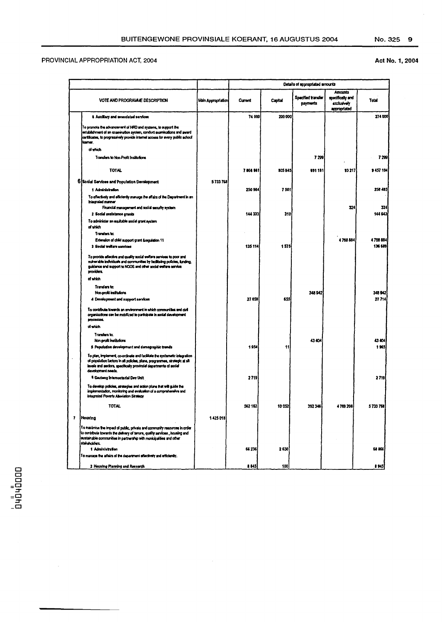#### Act No. 1, 2004

No. 325 9

|        |                                                                                                                                                                                                                                                    |                    |         |                | Details of appropriated amounts       |                                                                   |                  |
|--------|----------------------------------------------------------------------------------------------------------------------------------------------------------------------------------------------------------------------------------------------------|--------------------|---------|----------------|---------------------------------------|-------------------------------------------------------------------|------------------|
|        | <b>VOTE AND PROGRAMME DESCRIPTION</b>                                                                                                                                                                                                              | Main Appropriation | Current | Capital        | <b>Specified transfer</b><br>payments | <b>Amounts</b><br>specifically and<br>axclusively<br>appropriated | Total            |
|        | <b>&amp; Auxiliary and associated services</b>                                                                                                                                                                                                     |                    | 74 000  | 200 000        |                                       |                                                                   | 274 000          |
|        | To promote the advancement of HRD and systems, to support the<br>establishment of an examination system, conduct examinations and award<br>certificates, to progressively provide internet access for every public achool<br>learner.              |                    |         |                |                                       |                                                                   |                  |
|        | ol which                                                                                                                                                                                                                                           |                    |         |                |                                       |                                                                   |                  |
|        | Transfers to Non-Profit Institutions                                                                                                                                                                                                               |                    |         |                | 7 299                                 |                                                                   | 7299             |
|        | TOTAL                                                                                                                                                                                                                                              |                    | 7868881 | <b>105 845</b> | 591 181                               | 93 21 7                                                           | 9457104          |
| 6      | Social Services and Population Development                                                                                                                                                                                                         | 5733768            |         |                |                                       |                                                                   |                  |
|        | 1 Administration                                                                                                                                                                                                                                   |                    | 250 904 | 7501           |                                       |                                                                   | 258 485          |
|        | To effectively and efficiently manage the affairs of the Department in an<br>Integrated manner<br>Financial management and social security system                                                                                                  |                    |         |                |                                       | 324                                                               | 324              |
|        | 2 Social assistance grants                                                                                                                                                                                                                         |                    | 144 333 | <b>310</b>     |                                       |                                                                   | 144 643          |
|        | To administer an equitable social grant system                                                                                                                                                                                                     |                    |         |                |                                       |                                                                   |                  |
|        | of which<br>Transfers for                                                                                                                                                                                                                          |                    |         |                |                                       |                                                                   |                  |
|        | Extension of child support grant &regulation 11                                                                                                                                                                                                    |                    |         |                |                                       | 4768884                                                           | 4768884          |
|        | 3 Social wellars services                                                                                                                                                                                                                          |                    | 135 114 | 1575           |                                       |                                                                   | 136 689          |
|        | To provide effective and quality social wellare services to poor and<br>vulnerable individuals and communities by facilitating policies, funding,<br>guidance and support to NGOS and other social welfare service<br>providers.                   |                    |         |                |                                       |                                                                   |                  |
|        | of which                                                                                                                                                                                                                                           |                    |         |                |                                       |                                                                   |                  |
|        | Transfers to:                                                                                                                                                                                                                                      |                    |         |                |                                       |                                                                   |                  |
|        | Non-profit institutions<br>4 Development and support services                                                                                                                                                                                      |                    | 27059   | 655            | 348942                                |                                                                   | 348942<br>27 714 |
|        | To contribute towards an environment in which communities and civil<br>organisations can be mobilized to participate in accial development<br><b>Processes</b>                                                                                     |                    |         |                |                                       |                                                                   |                  |
|        | of which                                                                                                                                                                                                                                           |                    |         |                |                                       |                                                                   |                  |
|        | Transfers to:<br>Non-profit institutions                                                                                                                                                                                                           |                    |         |                | 43404                                 |                                                                   | 43.404           |
|        | 5 Population development and demographic trends                                                                                                                                                                                                    |                    | 1954    | 11             |                                       |                                                                   | 1965             |
| $\Box$ | To plan, implement, co-ordinate and facilitate the systematic integration<br>of population factors in all policies, plans, programmes, strategic at all<br>lovels and sectors, specifically provincial departments of social<br>development needs, |                    |         |                |                                       |                                                                   |                  |
|        | 6 Gautang Intersectorial Dev Unit                                                                                                                                                                                                                  |                    | 2719    |                |                                       |                                                                   | 2719             |
|        | To develop policies, strategies and action plans that will guide the<br>implementation, monitoring and evaluation of a comprehensive and<br>integrated Poverly Alleviation Strategy                                                                |                    |         |                |                                       |                                                                   |                  |
|        | <b>TOTAL</b>                                                                                                                                                                                                                                       |                    | 562 162 | 10 052         | 392 346                               | 4769 208                                                          | 5733768          |
| Ŧ      | <b>Housing</b>                                                                                                                                                                                                                                     | 1425018            |         |                |                                       |                                                                   |                  |
|        | To maximus the impact of public, private and community resources in order<br>to contribute towards the delivery of tenure, quality services, housing and<br>sustainable communities in partnership with municipalities and other<br>stakeholders.  |                    |         |                |                                       |                                                                   |                  |
|        | 1 Administration                                                                                                                                                                                                                                   |                    | 66 236  | 2630           |                                       |                                                                   | 68 866           |
|        | To manage the affairs of the department effectively and efficiently.                                                                                                                                                                               |                    |         |                |                                       |                                                                   |                  |
|        | 2 Housing Planning and Research                                                                                                                                                                                                                    |                    | 8845    | 100            |                                       |                                                                   | 8 DAS            |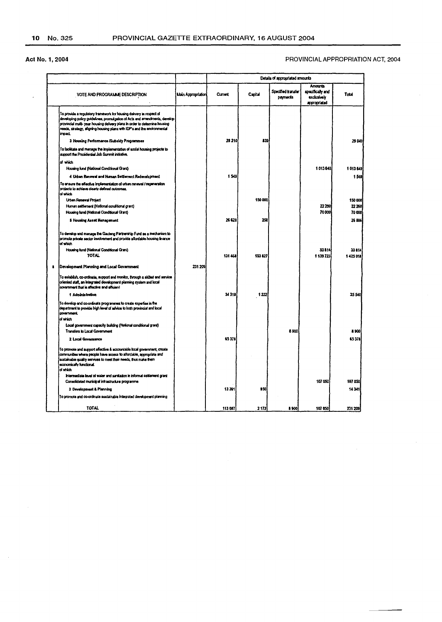$\bar{z}$ 

 $\sim$ 

#### PROVINCIAL APPROPRIATION ACT, 2004

|                                                                                                                                                                                                                                                                                                                         |                    |                |         | Details of appropriated amounts |                                                                   |                   |
|-------------------------------------------------------------------------------------------------------------------------------------------------------------------------------------------------------------------------------------------------------------------------------------------------------------------------|--------------------|----------------|---------|---------------------------------|-------------------------------------------------------------------|-------------------|
| <b>VOTE AND PROGRAMME DESCRIPTION</b>                                                                                                                                                                                                                                                                                   | Main Appropriation | <b>Current</b> | Capital | Specified transfer<br>payments  | <b>Anouris</b><br>specifically and<br>exclusively<br>appropriated | Total             |
| To provide a regulatory tramework for housing delivery in respect of<br>developing policy guidelines, promulgation of Acts and amendments, develop<br>provincial multi-year housing delivery plans in order to determine housing<br>needs, strategy, aligning housing plans with IDP's and the environmental<br>impact. |                    |                |         |                                 |                                                                   |                   |
| 3 Housing Performance /Subsidy Programmes                                                                                                                                                                                                                                                                               |                    | 28 210         | 839     |                                 |                                                                   | 29 049            |
| To facilitate and manage the implementation of social housing projects to<br>support the Presidential Job Summit initiative.                                                                                                                                                                                            |                    |                |         |                                 |                                                                   |                   |
| d which<br>Housing lund (National Conditional Grant)                                                                                                                                                                                                                                                                    |                    |                |         |                                 | 1013649                                                           | 1013649           |
| 4 Urban Renewal and Human Settlement Redevelopment                                                                                                                                                                                                                                                                      |                    | 1549           |         |                                 |                                                                   | 1549              |
| To ensure the effective implementation of urban renewal / regeneration<br>projects to achieve clearly defined outcomes.                                                                                                                                                                                                 |                    |                |         |                                 |                                                                   |                   |
| lol which<br><b>Urban Renewal Project</b>                                                                                                                                                                                                                                                                               |                    |                | 150 000 |                                 |                                                                   | 150 000           |
| Human seltlement (National conditional grant)                                                                                                                                                                                                                                                                           |                    |                |         |                                 | 22 260                                                            | 22 260            |
| Housing fund (National Conditional Grant)                                                                                                                                                                                                                                                                               |                    |                |         |                                 | 70000                                                             | 70 000            |
| <b>S Housing Asset Management</b>                                                                                                                                                                                                                                                                                       |                    | 26 628         | 258     |                                 |                                                                   | 26 886            |
| To develop and manage the Gauleng Partnership Fund as a mechanism to<br>promote private sector involvement and provide affordable housing finance<br>of which                                                                                                                                                           |                    |                |         |                                 |                                                                   |                   |
| Housing fund (National Conditional Grant)<br><b>TOTAL</b>                                                                                                                                                                                                                                                               |                    | 131468         | 153 827 |                                 | 33814<br>1 139 723                                                | 33 814<br>1425018 |
| [Development Planning and Local Government                                                                                                                                                                                                                                                                              | 231 209            |                |         |                                 |                                                                   |                   |
| To establish, co-ordinate, support and monitor, through a skilled and service<br>oriented staff, an integrated development planning system and local<br>covernment that is effective and efficient                                                                                                                      |                    |                |         |                                 |                                                                   |                   |
| 1 Administration                                                                                                                                                                                                                                                                                                        |                    | 34 318         | 1222    |                                 |                                                                   | 35 540            |
| To develop and co-ordinate programmes to create expertise in the<br>department to provide high level of advice to both provincial and local<br>government.                                                                                                                                                              |                    |                |         |                                 |                                                                   |                   |
| of which<br>Local government capacity building (National conditional grant)                                                                                                                                                                                                                                             |                    |                |         |                                 |                                                                   |                   |
| <b>Transfers to Local Government</b>                                                                                                                                                                                                                                                                                    |                    |                |         | 8900                            |                                                                   | 8900              |
| 2 Local Governance                                                                                                                                                                                                                                                                                                      |                    | 65378          |         |                                 |                                                                   | 65 378            |
| To promote and support affective & accountable local government, create<br>communities where people have access to affordable, appropriate and<br>sustainable quality services to meet their needs, thus make them<br>economically functional.<br>ol which                                                              |                    |                |         |                                 |                                                                   |                   |
| Intermediate level of water and sanitation in informal settlement grant                                                                                                                                                                                                                                                 |                    |                |         |                                 |                                                                   |                   |
| Consolidated municipal infrastructure programme                                                                                                                                                                                                                                                                         |                    |                |         |                                 | 107 050                                                           | 107 050           |
| 3 Development & Planning<br>To promote and co-ordinate sustainable integrated development planning                                                                                                                                                                                                                      |                    | 13 391         | 950     |                                 |                                                                   | 14341             |
| <b>TOTAL</b>                                                                                                                                                                                                                                                                                                            |                    | 113 087        | 2172    | 8 900                           | 107 050                                                           | 231 209           |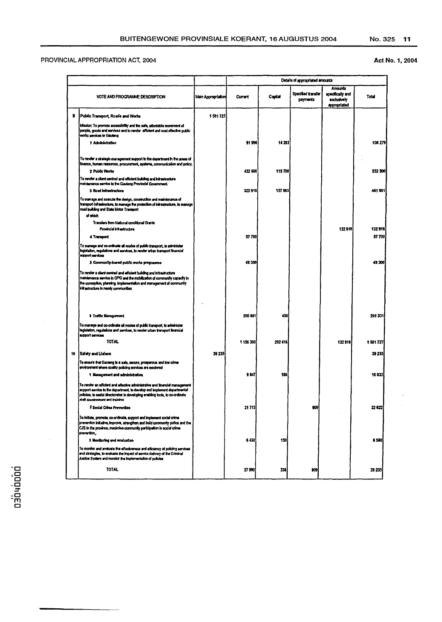Act No. 1, 2004

No. 325 11

|    |                                                                                                                                                                                                                                                                            |                    |                  |         | Details of appropriated amounts |                                                                   |         |
|----|----------------------------------------------------------------------------------------------------------------------------------------------------------------------------------------------------------------------------------------------------------------------------|--------------------|------------------|---------|---------------------------------|-------------------------------------------------------------------|---------|
|    | VOTE AND PROGRAMME DESCRIPTION                                                                                                                                                                                                                                             | Main Appropriation | Current          | Capital | Specified transfer<br>payments  | <b>Anounts</b><br>specifically and<br>exclusively<br>appropriated | Total   |
| 9  | Public Transport, Roads and Works                                                                                                                                                                                                                                          | 1581727            |                  |         |                                 |                                                                   |         |
|    | Mission; To promote accessibility and the safe, affordable movement of<br>people, goods and services and to runder efficient and coat effective public<br>works services in Gauteng                                                                                        |                    |                  |         |                                 |                                                                   |         |
|    | 1 Administration                                                                                                                                                                                                                                                           |                    | 91996            | 14 213  |                                 |                                                                   | 106 279 |
|    | To render a strategic management support to the department in the areas of<br>finance, human resources, procurement, systems, communication and policy.                                                                                                                    |                    |                  |         |                                 |                                                                   |         |
|    | 2 Public Works                                                                                                                                                                                                                                                             |                    | 432 600          | 119700  |                                 |                                                                   | 552 300 |
|    | To render a client centred and efficient building and intrastructure<br>maintenance service to the Gauleng Provincial Government.                                                                                                                                          |                    |                  |         |                                 |                                                                   |         |
|    | 3 Road Infrastructure                                                                                                                                                                                                                                                      |                    | 323 918          | 157983  |                                 |                                                                   | 481 901 |
|    | To manage and execute the design, construction and maintenance of<br>transport infrastructure, to manage the protection of infrastructure, to manage<br>road building and State Motor Transport                                                                            |                    |                  |         |                                 |                                                                   |         |
|    | of which<br>Translers from National conditional Grants                                                                                                                                                                                                                     |                    |                  |         |                                 |                                                                   |         |
|    | Provincial intractructure                                                                                                                                                                                                                                                  |                    |                  |         |                                 | 132916                                                            | 132916  |
|    | 4 Transport                                                                                                                                                                                                                                                                |                    | 57700            |         |                                 |                                                                   | 57 700  |
|    | To manage and co-ordinate all modes of public transport, to administer<br>legislation, regulations and services, to render when transport financial<br>support services                                                                                                    |                    |                  |         |                                 |                                                                   |         |
|    | 5 Community-based public works programme                                                                                                                                                                                                                                   |                    | 49 300           |         |                                 |                                                                   | 49 300  |
|    | To render a client centred and efficient building and intrastructure<br>maintenance service to GPG and the mobilization of community capacity in<br>the conception, planning implementation and management of community<br>infrastructure in needy communities             |                    |                  |         |                                 |                                                                   |         |
|    | <b>6 Traffic Management</b><br>To manage and co-ordinate all modes of public transport, to administer<br>legislation, regulations and services, to render when transport financial                                                                                         |                    | 200 881          | 450     |                                 |                                                                   | 201331  |
|    | <b>But DOOT SERVICES</b><br><b>TOTAL</b>                                                                                                                                                                                                                                   |                    | 1 156 395        | 292 416 |                                 | 132916                                                            | 1581727 |
|    |                                                                                                                                                                                                                                                                            |                    |                  |         |                                 |                                                                   |         |
| 10 | Safety and Liaison                                                                                                                                                                                                                                                         | 39 235             |                  |         |                                 |                                                                   | 39 235  |
|    | To ensure that Gauteng is a sale, secure, prosperous and low crime<br>environment where quality policing services are rendered                                                                                                                                             |                    |                  |         |                                 |                                                                   |         |
|    | 1 Management and administration                                                                                                                                                                                                                                            |                    | 9 <sup>847</sup> | 186     |                                 |                                                                   | 10033   |
|    | To render an efficient and effective administrative and Snancial management<br>support service to the department, to develop and implement departmental<br>policies, to assist directorates in developing enabling tools, to co-ordinate<br>stall development and training |                    |                  |         |                                 |                                                                   |         |
|    | <sup>2</sup> Social Crime Preventien                                                                                                                                                                                                                                       |                    | 21 713           |         | 909                             |                                                                   | 22 622  |
|    | To initiate, promote, co-ordinate, support and implement social crime<br>prevention initiative, improve, strengthen and build community police and the<br>CJS in the province, maximise community participation in social crime<br>prevention                              |                    |                  |         |                                 |                                                                   |         |
|    | 3 Monitoring and evaluation                                                                                                                                                                                                                                                |                    | 6430             | 150     |                                 |                                                                   | \$580   |
|    | To monitor and evaluate the allectiveness and efficiency of policing services<br>and strategies, to evaluate the impact of service delivery of the Criminal<br>Justice System and monitor the Implementation of policies                                                   |                    |                  |         |                                 |                                                                   |         |
|    | <b>TOTAL</b>                                                                                                                                                                                                                                                               |                    | 37 990           | 336     | 909                             |                                                                   | 39 235  |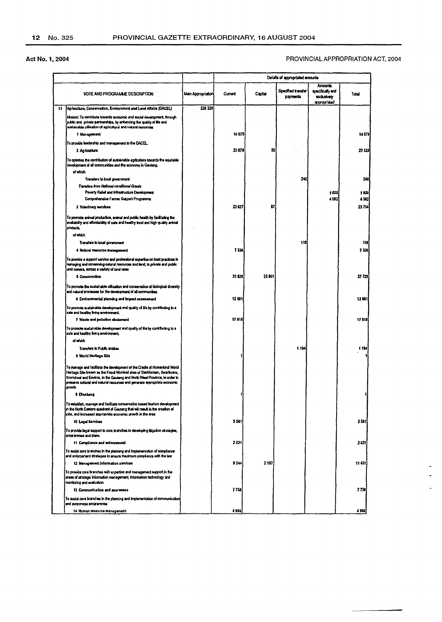#### PROVINCIAL APPROPRIATION ACT, 2004

 $\ddot{\phantom{a}}$  $\overline{a}$ 

|    |                                                                                                                                                                                                                                                                                                                      |                    |         |         | Details of appropriated amounts |                                                 |        |
|----|----------------------------------------------------------------------------------------------------------------------------------------------------------------------------------------------------------------------------------------------------------------------------------------------------------------------|--------------------|---------|---------|---------------------------------|-------------------------------------------------|--------|
|    |                                                                                                                                                                                                                                                                                                                      |                    |         |         |                                 | <b>Amounts</b>                                  |        |
|    | <b>VOTE AND PROGRAMME DESCRIPTION</b>                                                                                                                                                                                                                                                                                | Main Appropriation | Current | Capital | Specified transfer<br>payments  | specifically and<br>exclusively<br>appropriated | Total  |
| 11 | Agriculture, Conservation, Environment and Land Affairs (DACEL)                                                                                                                                                                                                                                                      | 228 329            |         |         |                                 |                                                 |        |
|    | Mission; To contribute towards economic and social development, through<br>public and private partnerships, by emhancing the quality of life and<br>sustainable utilitation of agricultural and natural resources                                                                                                    |                    |         |         |                                 |                                                 |        |
|    | 1 Management                                                                                                                                                                                                                                                                                                         |                    | 14079   |         |                                 |                                                 | 14079  |
|    | To provide leadership and management to the DACEL.                                                                                                                                                                                                                                                                   |                    |         |         |                                 |                                                 |        |
|    | 2 Agriculture                                                                                                                                                                                                                                                                                                        |                    | 23 078  | 50      |                                 |                                                 | 23 128 |
|    | To optimise the contribution of sustainable agriculture towards the equitable<br>development of all communities and the economy in Gauteng.                                                                                                                                                                          |                    |         |         |                                 |                                                 |        |
|    | ol which                                                                                                                                                                                                                                                                                                             |                    |         |         |                                 |                                                 |        |
|    | Transfers to local government                                                                                                                                                                                                                                                                                        |                    |         |         | 240                             |                                                 | 240    |
|    | Transfers from Netional conditional Grants                                                                                                                                                                                                                                                                           |                    |         |         |                                 |                                                 |        |
|    | Poverty Ralief and Infrastructure Development                                                                                                                                                                                                                                                                        |                    |         |         |                                 | 1600                                            | 1 500  |
|    | Comprehensive Farmer Support Programme                                                                                                                                                                                                                                                                               |                    |         |         |                                 | 4582                                            | 4582   |
|    | 3 Veterinary services                                                                                                                                                                                                                                                                                                |                    | 23 627  | 87      |                                 |                                                 | 23 714 |
|    | To promole animal production, animal and public health by facilitating the<br>availability and affordability of safe and healthy food and high quality animal<br>products                                                                                                                                            |                    |         |         |                                 |                                                 |        |
|    | of which                                                                                                                                                                                                                                                                                                             |                    |         |         |                                 |                                                 |        |
|    | Transfers to local government                                                                                                                                                                                                                                                                                        |                    |         |         | 116                             |                                                 | 116    |
|    |                                                                                                                                                                                                                                                                                                                      |                    |         |         |                                 |                                                 |        |
|    | 4 Natural resource management                                                                                                                                                                                                                                                                                        |                    | 7336    |         |                                 |                                                 | 7336   |
|    | To provide a support service and professional expertise on best practices in<br>managing and conserving natural resources and fand, to private and public<br>land owners, across a variety of land uses                                                                                                              |                    |         |         |                                 |                                                 |        |
|    | <b>S</b> Conservation                                                                                                                                                                                                                                                                                                |                    | 31 828  | 25901   |                                 |                                                 | 57 729 |
|    | To promote the sustainable utilisation and conservation of biological diversity<br>and natural processes for the development of all communities.                                                                                                                                                                     |                    |         |         |                                 |                                                 |        |
|    | <b>6 Environmental planning and impact assessment</b>                                                                                                                                                                                                                                                                |                    | 12 581  |         |                                 |                                                 | 12561  |
|    | To promote sustainable development and quality of life by contributing to a<br>sale and healthy living environment.                                                                                                                                                                                                  |                    |         |         |                                 |                                                 |        |
|    | 7 Waste and policition abatement                                                                                                                                                                                                                                                                                     |                    | 17 818  |         |                                 |                                                 | 17818  |
|    | To promote sustainable development and quality of life by contributing to a<br>sale and healthy living environment.                                                                                                                                                                                                  |                    |         |         |                                 |                                                 |        |
|    | al which                                                                                                                                                                                                                                                                                                             |                    |         |         |                                 |                                                 |        |
|    | Transfers to Public entities                                                                                                                                                                                                                                                                                         |                    |         |         | 1 194                           |                                                 | 1 194  |
|    | 8 World Heritage Site                                                                                                                                                                                                                                                                                                |                    |         |         |                                 |                                                 |        |
|    | To manage and facilitate the development of the Cradie of Humankind World<br>Heritage Site known as the Fossil Mominid sites of Sterkfontein, Swartkrans,<br>Kromdraal and Environ, in the Gautang and North West Province, in order to<br>preserve cultural and natural resources and generale appropriate economic |                    |         |         |                                 |                                                 |        |
|    | prowth<br>9 Dinokeng                                                                                                                                                                                                                                                                                                 |                    |         |         |                                 |                                                 |        |
|    | To establish, manage and facilitate conservation based lourism development<br>in the North Eastern quadrant of Gauteng that will result in the creation of                                                                                                                                                           |                    |         |         |                                 |                                                 |        |
|    | jobs, and increased appropriate economic growth in the area<br>10 Legal Services                                                                                                                                                                                                                                     |                    | 550     |         |                                 |                                                 | 5581   |
|    | To provide legal support to core branches in developing litigation strategies,                                                                                                                                                                                                                                       |                    |         |         |                                 |                                                 |        |
|    | programmes and plans<br>11 Compliance and enforcement                                                                                                                                                                                                                                                                |                    | 2021    |         |                                 |                                                 | 2 021  |
|    |                                                                                                                                                                                                                                                                                                                      |                    |         |         |                                 |                                                 |        |
|    | To assist core branches in the planning and implementation of compliance<br>and enforcement strategies to ensure maximum compliance with the law                                                                                                                                                                     |                    |         |         |                                 |                                                 |        |
|    | 12 Management Information services                                                                                                                                                                                                                                                                                   |                    | 9244    | 2187    |                                 |                                                 | 11 431 |
|    | To provide core branches with expertise and management support in the<br>areas of strategic information management, information technology and<br>monitoring and evaluation                                                                                                                                          |                    |         |         |                                 |                                                 |        |
|    | 13 Communication and awareness                                                                                                                                                                                                                                                                                       |                    | 7758    |         |                                 |                                                 | 7758   |
|    | To assist core branches in the planning and implementation of communication<br>and awareness programmes                                                                                                                                                                                                              |                    |         |         |                                 |                                                 |        |
|    | 14 Human resource management                                                                                                                                                                                                                                                                                         |                    | 4 986   |         |                                 |                                                 | 4986   |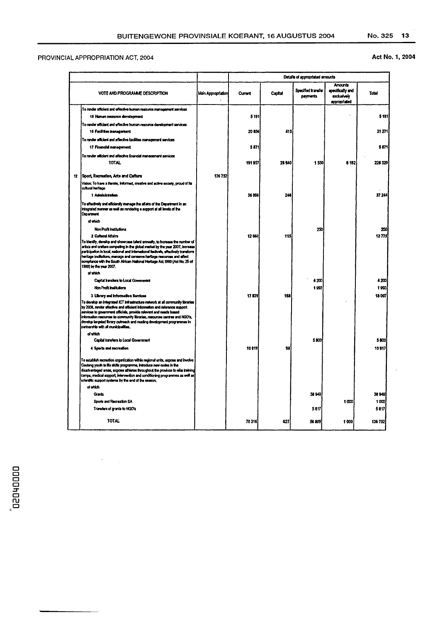$\mathcal{L}^{\mathcal{A}}$ 

 $\overline{\phantom{a}}$ 

#### Act No. 1, 2004

No. 325 13

|    |                                                                                                                                                                                                                                                                                                                                                                                                                                                                                            |                    |         |         | Details of appropriated amounts |                                                            |              |
|----|--------------------------------------------------------------------------------------------------------------------------------------------------------------------------------------------------------------------------------------------------------------------------------------------------------------------------------------------------------------------------------------------------------------------------------------------------------------------------------------------|--------------------|---------|---------|---------------------------------|------------------------------------------------------------|--------------|
|    | VOTE AND PROGRAMME DESCRIPTION                                                                                                                                                                                                                                                                                                                                                                                                                                                             | Main Appropriation | Current | Capital | Specified transfer<br>payments  | Amounts<br>specifically and<br>exclusively<br>appropriated | Total        |
|    | To render efficient and effective human resource management services<br>15 Human resource development                                                                                                                                                                                                                                                                                                                                                                                      |                    | 5 1 9 1 |         |                                 |                                                            | 5 191        |
|    | To render efficient and effective human rescurce development services<br>15 Fectities management                                                                                                                                                                                                                                                                                                                                                                                           |                    | 20 856  | 415     |                                 |                                                            | 21 271       |
|    | To render efficient and effective facilities management services<br>17 Financial management                                                                                                                                                                                                                                                                                                                                                                                                |                    | 5171    |         |                                 |                                                            | 5871         |
|    | To render efficient and effective financial management services<br><b>TOTAL</b>                                                                                                                                                                                                                                                                                                                                                                                                            |                    | 191957  | 28 640  | 1 550                           | 6 182                                                      | 228 329      |
| 12 | Sport, Recreation, Arts and Culture                                                                                                                                                                                                                                                                                                                                                                                                                                                        | 136752             |         |         |                                 |                                                            |              |
|    | Vision; To have a flerate, informed, creative and active society, proud of its<br>cultural heritage<br>1 Administration                                                                                                                                                                                                                                                                                                                                                                    |                    | 36998   | 246     |                                 |                                                            | 37 ZH        |
|    | To effectively and efficiently manage the atlairs of the Department in an<br>integrated manner as well as rendering a support at all levels of the<br><b>Department</b>                                                                                                                                                                                                                                                                                                                    |                    |         |         |                                 |                                                            |              |
|    | of which<br>Non Profit Institutions                                                                                                                                                                                                                                                                                                                                                                                                                                                        |                    |         |         | 250                             |                                                            | 250          |
|    | 2 Cultural Atlaire<br>To identify, develop and showcase talent annually, to increase the number of<br>artists and crafters competing in the global market by the year 2007, increase<br>participation in local, national and international festivals, effectively transform<br>heritage institutions, manage and conserve heritage resources and effect<br>compilance with the South African National Heritage Act, 1999 (Act No. 25 of<br>1999) by the year 2007.                         |                    | 12 560  | 115     |                                 |                                                            | 12775        |
|    | of which                                                                                                                                                                                                                                                                                                                                                                                                                                                                                   |                    |         |         |                                 |                                                            |              |
|    | Capital transfers to Local Government<br>Non Profit Institutions                                                                                                                                                                                                                                                                                                                                                                                                                           |                    |         |         | 4200<br>1993                    |                                                            | 4200<br>1933 |
|    | <b>3 Library and Information Services</b><br>To develop an integrated ICT infrastructure network at all community libraries<br>by 2008, render affective and efficient information and reference support<br>services to government officials, provide relevant and needs based<br>information resources to community libraries, resources centres and NGO's,<br>develop largeted forary outreach and reading development programmes in<br>partnership with all municipalities.<br>of which |                    | 17839   | 163     |                                 |                                                            | 18007        |
|    | Capital transfers to Local Government                                                                                                                                                                                                                                                                                                                                                                                                                                                      |                    |         |         | 5800                            |                                                            | 5800         |
|    | 4 Sports and recreation                                                                                                                                                                                                                                                                                                                                                                                                                                                                    |                    | 10819   | 98      |                                 |                                                            | 10917        |
|    | To establish recreation organization within regional units, expose and involve<br>Gauleng youth to life skills programme, introduce new codes in the<br>disadvantaged areas, expose athletes throughout the province to ellia training<br>carros, medical support, intervention and conditioning programmes as well as<br>scientific support systems by the end of the season,                                                                                                             |                    |         |         |                                 |                                                            |              |
|    | of which<br>Grade                                                                                                                                                                                                                                                                                                                                                                                                                                                                          |                    |         |         | 38940                           |                                                            | 38949        |
|    | Sports and Recreation SA                                                                                                                                                                                                                                                                                                                                                                                                                                                                   |                    |         |         |                                 | 1000                                                       | 1000         |
|    | Transfers of grants to NGO's                                                                                                                                                                                                                                                                                                                                                                                                                                                               |                    |         |         | 5 6 17                          |                                                            | 5817         |
|    | <b>TOTAL</b>                                                                                                                                                                                                                                                                                                                                                                                                                                                                               |                    | 78 316  | 627     | 56809                           | 1000                                                       | 136 752      |

 $\ddot{\phantom{0}}$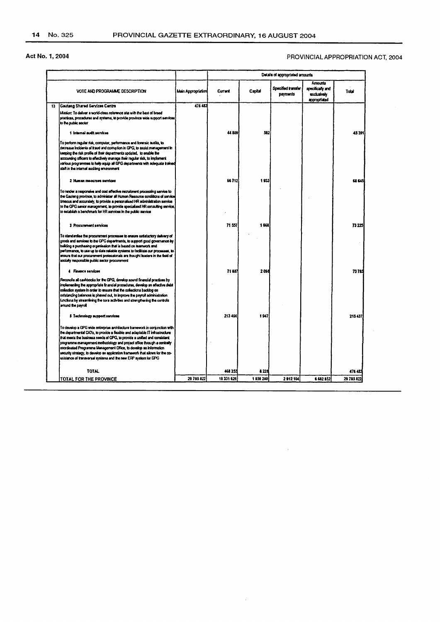#### PROVINCIAL APPROPRIATION ACT, 2004

|                  |                                                                                                                                                                                                                                                                                                                                                                                                                                                                                                                                                 |                    |            |         | Details of appropriated amounts |                                                            |               |
|------------------|-------------------------------------------------------------------------------------------------------------------------------------------------------------------------------------------------------------------------------------------------------------------------------------------------------------------------------------------------------------------------------------------------------------------------------------------------------------------------------------------------------------------------------------------------|--------------------|------------|---------|---------------------------------|------------------------------------------------------------|---------------|
|                  | VOTE AND PROGRAMME DESCRIPTION                                                                                                                                                                                                                                                                                                                                                                                                                                                                                                                  | Main Appropriation | Current    | Capital | Specified transfer<br>payments  | Amounts<br>specifically and<br>exclusively<br>appropriated | Total         |
| 13 <sup>13</sup> | <b>Gautang Shared Services Centre</b>                                                                                                                                                                                                                                                                                                                                                                                                                                                                                                           | 476 483            |            |         |                                 |                                                            |               |
|                  | Mission: To deliver a world-class reference site with the best of breed<br>practices, procedures and systems, to provide province wide support services<br>to the public sector<br>1 Internal audit services                                                                                                                                                                                                                                                                                                                                    |                    | 44 809     | 582     |                                 |                                                            | 45391         |
|                  | To perform regular risk, computer, performance and forensic audits, to<br>decrease incidents of traud and comption in GPG, to assist management in<br>keeping the risk profile of their departments updated, to enable the<br>accounting officers to effectively manage their regular risk, to implement<br>various programmes to help equip all GPG departments with adequate trained<br>stafi in the internal auditing environment                                                                                                            |                    |            |         |                                 |                                                            |               |
|                  | 2 Human resources services                                                                                                                                                                                                                                                                                                                                                                                                                                                                                                                      |                    | 66712      | 1933    |                                 |                                                            | <b>68 645</b> |
|                  | To render a responsive and cost effective recruitment processing service to<br>the Gauteng province, to administer all Human Resource conditions of service<br>timeous and accurately, to provide a personalised HR administration service<br>to the GPG senior management, to provide specialised HR consulting service.]<br>to establish a benchmark for HR services in the public service                                                                                                                                                    |                    |            |         |                                 |                                                            |               |
|                  | 3 Procurement services                                                                                                                                                                                                                                                                                                                                                                                                                                                                                                                          |                    | 71 557     | 1568    |                                 |                                                            | 73 225        |
|                  | To standardise the procurement processes to ensure satisfactory delivery of<br>goods and aervices to the GPG departments, to support good governance by<br>building a purchasing organisation that is based on teamwork and<br>performance, to use up to date reliable systems to facilitate our processes, to<br>ensure that our procurement professionals are thought leaders in the field of<br>socially responsible public sector procurement                                                                                               |                    |            |         |                                 |                                                            |               |
|                  | 4 Finance services                                                                                                                                                                                                                                                                                                                                                                                                                                                                                                                              |                    | 71 687     | 2098    |                                 |                                                            | 73 785        |
|                  | Reconcile all cashbooks for the GPG, develop sound financial practices by<br>implementing the appropriate financial procedures, develop an effective debt<br>collection system in order to ensure that the collections backlog on<br>outstanding balances is phased out, to improve the payroll administration<br>functions by streamlining the core activities and strengthening the controls<br>around the payroll                                                                                                                            |                    |            |         |                                 |                                                            |               |
|                  | 5 Technology support services                                                                                                                                                                                                                                                                                                                                                                                                                                                                                                                   |                    | 213 450    | 1947    |                                 |                                                            | 215 437       |
|                  | To develop a GPG wide enterprise architecture framework in conjunction with<br>the departmental CIO's, to provide a flexible and adaptable IT infrastructure<br>that meets the business needs of GPG, to provide a unified and consistent<br>programme management methodology and project office through a centrally<br>coordinated Programme Management Office, to develop an information<br>security strategy, to develop an application framework that allows for the co-<br>existence of transversal systems and the new ERP system for GPG |                    |            |         |                                 |                                                            |               |
|                  | TOTAL.                                                                                                                                                                                                                                                                                                                                                                                                                                                                                                                                          |                    | 468 259    | 4 225   |                                 |                                                            | 476.41        |
|                  | TOTAL FOR THE PROVINCE                                                                                                                                                                                                                                                                                                                                                                                                                                                                                                                          | 29 785 822         | 18 331 626 | 1859240 | 2912104                         | 6 682 852                                                  | 29 785 822    |

 $\mathcal{A}^{\mathcal{A}}$ 

 $\sim$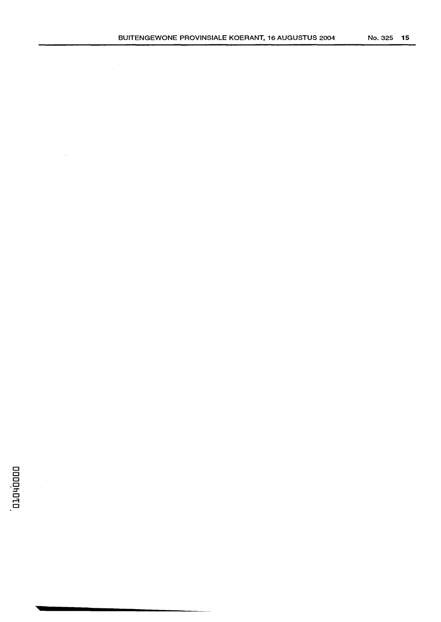$\frac{1}{2}$ 

 $\bar{\lambda}$ 

No. 325 15